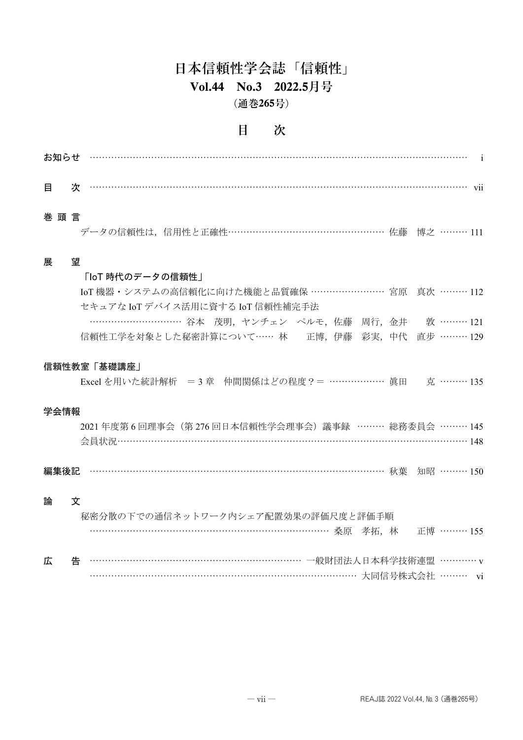## 日本信頼性学会誌「信頼性」 **Vol.44 No.3 2022.5**月号 (通巻**265**号)

### 目 次

| お知らせ        |                                                                                     |  |  |  |  |            |  |
|-------------|-------------------------------------------------------------------------------------|--|--|--|--|------------|--|
| 目           | 次                                                                                   |  |  |  |  |            |  |
| 巻頭言         | データの信頼性は、信用性と正確性…………………………………………… 佐藤 博之 ……… 111                                     |  |  |  |  |            |  |
| 展           | 望                                                                                   |  |  |  |  |            |  |
|             | 「IoT 時代のデータの信頼性」                                                                    |  |  |  |  |            |  |
|             | IoT 機器・システムの高信頼化に向けた機能と品質確保 …………………… 宮原 真次 ……… 112                                  |  |  |  |  |            |  |
|             | セキュアな IoTデバイス活用に資する IoT 信頼性補完手法<br>………………………… 谷本 茂明, ヤンチェン ペルモ, 佐藤 周行, 金井 敦 ……… 121 |  |  |  |  |            |  |
|             | 信頼性工学を対象とした秘密計算について…… 林――正博, 伊藤 彩実, 中代 直步 ……… 129                                   |  |  |  |  |            |  |
| 信頼性教室「基礎講座」 |                                                                                     |  |  |  |  |            |  |
|             | Excel を用いた統計解析 = 3 章 仲間関係はどの程度 ? = ……………… 眞田 克 ……… 135                              |  |  |  |  |            |  |
| 学会情報        |                                                                                     |  |  |  |  |            |  |
|             | 2021 年度第6回理事会 (第276回日本信頼性学会理事会) 議事録 ……… 総務委員会 ……… 145                               |  |  |  |  |            |  |
|             |                                                                                     |  |  |  |  |            |  |
| 編集後記        | ………………………………………………………………………………… 秋葉 知昭 ……… 150                                       |  |  |  |  |            |  |
| 論           | 文                                                                                   |  |  |  |  |            |  |
|             | 秘密分散の下での通信ネットワーク内シェア配置効果の評価尺度と評価手順                                                  |  |  |  |  |            |  |
|             | …………………………………………………………………………… 桑原 孝拓,林                                               |  |  |  |  | 正博 ……… 155 |  |
| 広           | 告                                                                                   |  |  |  |  |            |  |

…………………………………………………………………………… 大同信号株式会社 ……… vi